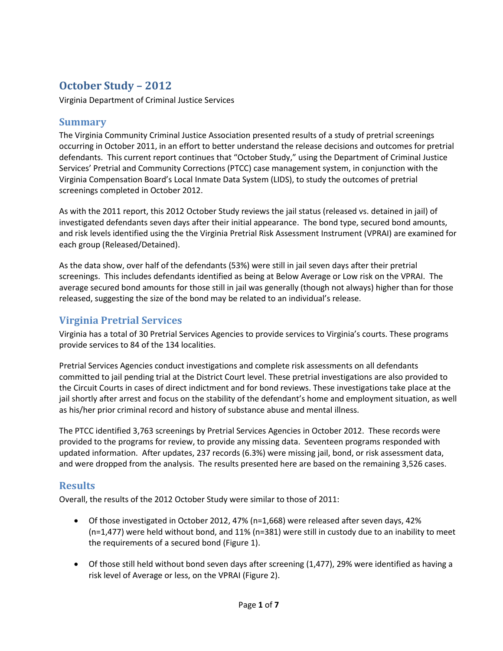# **October Study – 2012**

Virginia Department of Criminal Justice Services

#### **Summary**

The Virginia Community Criminal Justice Association presented results of a study of pretrial screenings occurring in October 2011, in an effort to better understand the release decisions and outcomes for pretrial defendants. This current report continues that "October Study," using the Department of Criminal Justice Services' Pretrial and Community Corrections (PTCC) case management system, in conjunction with the Virginia Compensation Board's Local Inmate Data System (LIDS), to study the outcomes of pretrial screenings completed in October 2012.

As with the 2011 report, this 2012 October Study reviews the jail status (released vs. detained in jail) of investigated defendants seven days after their initial appearance. The bond type, secured bond amounts, and risk levels identified using the the Virginia Pretrial Risk Assessment Instrument (VPRAI) are examined for each group (Released/Detained).

As the data show, over half of the defendants (53%) were still in jail seven days after their pretrial screenings. This includes defendants identified as being at Below Average or Low risk on the VPRAI. The average secured bond amounts for those still in jail was generally (though not always) higher than for those released, suggesting the size of the bond may be related to an individual's release.

### **Virginia Pretrial Services**

Virginia has a total of 30 Pretrial Services Agencies to provide services to Virginia's courts. These programs provide services to 84 of the 134 localities.

Pretrial Services Agencies conduct investigations and complete risk assessments on all defendants committed to jail pending trial at the District Court level. These pretrial investigations are also provided to the Circuit Courts in cases of direct indictment and for bond reviews. These investigations take place at the jail shortly after arrest and focus on the stability of the defendant's home and employment situation, as well as his/her prior criminal record and history of substance abuse and mental illness.

The PTCC identified 3,763 screenings by Pretrial Services Agencies in October 2012. These records were provided to the programs for review, to provide any missing data. Seventeen programs responded with updated information. After updates, 237 records (6.3%) were missing jail, bond, or risk assessment data, and were dropped from the analysis. The results presented here are based on the remaining 3,526 cases.

#### **Results**

Overall, the results of the 2012 October Study were similar to those of 2011:

- Of those investigated in October 2012, 47% (n=1,668) were released after seven days, 42% (n=1,477) were held without bond, and 11% (n=381) were still in custody due to an inability to meet the requirements of a secured bond (Figure 1).
- Of those still held without bond seven days after screening (1,477), 29% were identified as having a risk level of Average or less, on the VPRAI (Figure 2).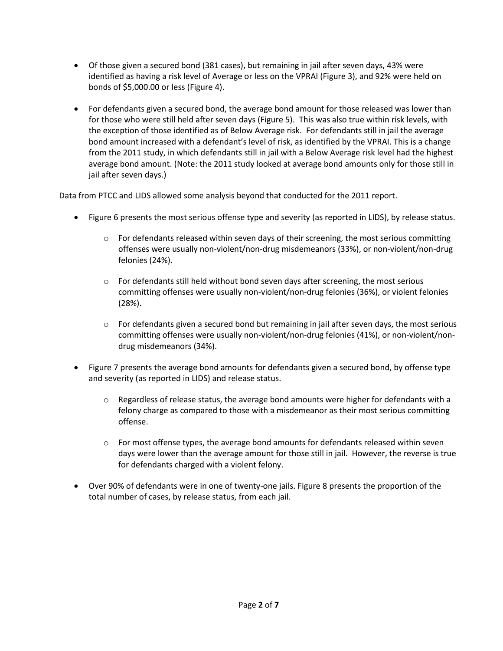- Of those given a secured bond (381 cases), but remaining in jail after seven days, 43% were identified as having a risk level of Average or less on the VPRAI (Figure 3), and 92% were held on bonds of \$5,000.00 or less (Figure 4).
- For defendants given a secured bond, the average bond amount for those released was lower than for those who were still held after seven days (Figure 5). This was also true within risk levels, with the exception of those identified as of Below Average risk. For defendants still in jail the average bond amount increased with a defendant's level of risk, as identified by the VPRAI. This is a change from the 2011 study, in which defendants still in jail with a Below Average risk level had the highest average bond amount. (Note: the 2011 study looked at average bond amounts only for those still in jail after seven days.)

Data from PTCC and LIDS allowed some analysis beyond that conducted for the 2011 report.

- Figure 6 presents the most serious offense type and severity (as reported in LIDS), by release status.
	- $\circ$  For defendants released within seven days of their screening, the most serious committing offenses were usually non-violent/non-drug misdemeanors (33%), or non-violent/non-drug felonies (24%).
	- $\circ$  For defendants still held without bond seven days after screening, the most serious committing offenses were usually non-violent/non-drug felonies (36%), or violent felonies (28%).
	- $\circ$  For defendants given a secured bond but remaining in jail after seven days, the most serious committing offenses were usually non-violent/non-drug felonies (41%), or non-violent/nondrug misdemeanors (34%).
- Figure 7 presents the average bond amounts for defendants given a secured bond, by offense type and severity (as reported in LIDS) and release status.
	- $\circ$  Regardless of release status, the average bond amounts were higher for defendants with a felony charge as compared to those with a misdemeanor as their most serious committing offense.
	- $\circ$  For most offense types, the average bond amounts for defendants released within seven days were lower than the average amount for those still in jail. However, the reverse is true for defendants charged with a violent felony.
- Over 90% of defendants were in one of twenty-one jails. Figure 8 presents the proportion of the total number of cases, by release status, from each jail.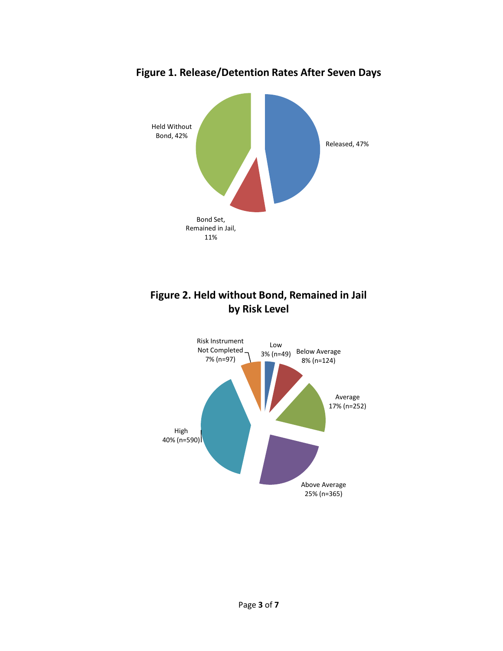

**Figure 1. Release/Detention Rates After Seven Days**



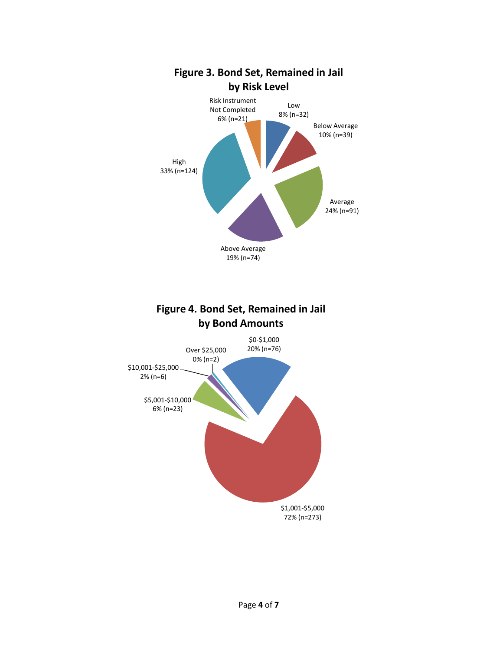

**by Bond Amounts**

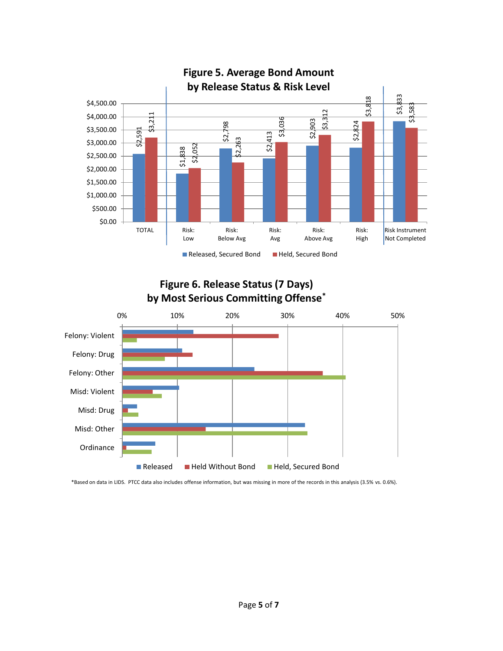

## **Figure 6. Release Status (7 Days) by Most Serious Committing Offense\***



\*Based on data in LIDS. PTCC data also includes offense information, but was missing in more of the records in this analysis (3.5% vs. 0.6%).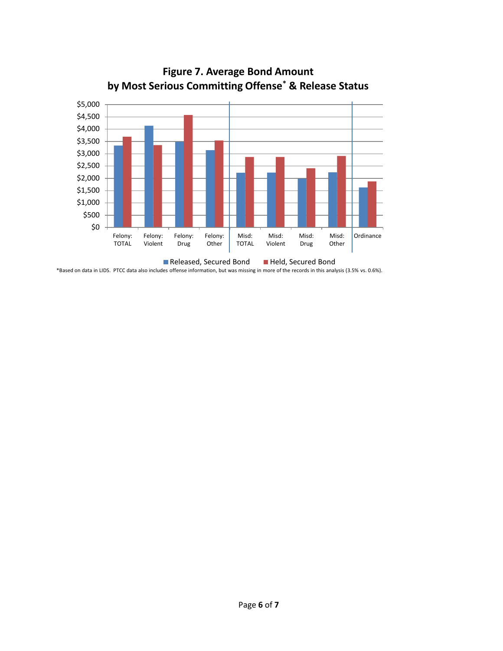

**Figure 7. Average Bond Amount by Most Serious Committing Offense\* & Release Status**

\*Based on data in LIDS. PTCC data also includes offense information, but was missing in more of the records in this analysis (3.5% vs. 0.6%).